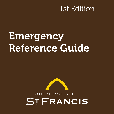# 1st Edition

# **Emergency** Reference Guide

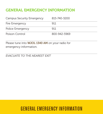### GENERAL EMERGENCY INFORMATION

| Campus Security Emergency | 815-740-3200 |
|---------------------------|--------------|
| Fire Emergency            | 911          |
| Police Emergency          | 911          |
| Poison Control            | 800-942-5969 |

Please tune into **WJOL 1340 AM** on your radio for emergency information.

*EVACUATE TO THE NEAREST EXIT*

# GENERAL EMERGENCY INFORMATION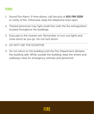### FIRE

- 1. Sound Fire Alarm. If time allows, call Security at 815-740-3200 to notify of fire. Otherwise, keep the telephone lines open.
- 2. Trained personnel may fight small fires with the fire extinguishers located throughout the buildings.
- 3. Evacuate to the nearest exit. Remember to turn out lights and close doors as you go. Do not lock doors.
- 4. *DO NOT USE THE ELEVATOR*.
- 5. Do not return to the building until the Fire Department declares the building safe. While outside the building, keep the streets and walkways clear for emergency vehicles and personnel.

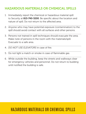### HAZARDOUS MATERIALS OR CHEMICAL SPILLS

- 1. Immediately report the chemical or hazardous material spill to Security at 815-740-3200. Be specific about the location and nature of spill. Do not return to the affected area.
- 2. Anyone who may have potential exposure (contamination) to the spill should avoid contact with all surfaces and other persons.
- 3. Persons not trained in spill techniques should evacuate the area. Make note of persons in the room with the materials/spill. Evacuate to a safe area.
- 4. *DO NOT USE ELEVATORS* in case of fire.
- 5. Do not light a match or smoke in case of flammable gas.
- 6. While outside the building, keep the streets and walkways clear for emergency vehicles and personnel. Do not return to building until notified the building is safe.

# HAZARDOUS MATERIALS OR CHEMICAL SPILLS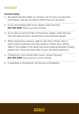### **ASSAULT**

#### General Safety

- 1. Recognize general safety on campus. Do not give out personal information, and do not inform others that you are alone.
- 2. If you are working after hours, please notify Security: 815-740-3200. Keep your door locked.
- 3. If you have an active Order of Protection, please notify Security. This will help Security's awareness of any potential danger.
- 4. When leaving the campus, walk to cars with a friend, stay in well-lit areas, and have your key ready to unlock your vehicle. Walk in the middle of the aisles and avoid walking between closely parked cars. Check the back seat of your car before getting in.
- 5. If leaving for your vehicle after hours, contact Security: 815-740-3200, for an escort to your vehicle.
- 6. If assaulted or threatened, call Security immediately.

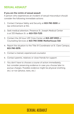### SEXUAL ASSAULT

#### If you are the victim of sexual assault

A person who experiences an incident of sexual misconduct should consider the following immediate actions:

- 1. Contact Campus Safety and Security at 815-740-3200 or law enforcement at 911.
- 2. Seek medical attention. Presence St. Joseph Medical Center is at 333 Madison St. or 815-725-7133.
- 3. Contact the 24 hour USF Crisis Center at 815-207-9353 or Counseling Services at 815-740-3598/ Motherhouse 318.
- 4. Report the situation to the Title IX Coordinator at St. Clare Campus, 815-740-5076.
- 5. Contact a trained, experienced counselor.
- 6. Contact parents, relatives or close friends for support.
- 7. You don't have to choose a course of action immediately, but consider preserving evidence in case you choose later to pursue charges. Possible evidence might be physical (clothing, etc.) or not (photos, texts, etc.)

# SEXUAL ASSAULT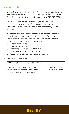### BOMB THREAT

- 1. If you observe a suspicious object that may be a potential bomb/ explosive on campus, *DO NOT HANDLE OR MOVE THE OBJECT*. Clear the area and call Security immediately at 815-740-3200.
- 2. Two-way radios, cell phones and pagers should not be used near the area in which the object was received or threatened. Some radios or telecommunication equipment may set off the device.
- 3. When receiving a telephone call announcing that a bomb or explosive device has been placed on campus, follow the Checklist above to gain accurate and complete information. Be sure to include information if possible:
	- *A Exact location of device*
	- *B Time set for detonation*
	- *C What the package or object looks like*
	- *D What the explosive is composed of*
	- *E Reason the explosive was placed on campus*
- 4. Evacuate to a safe area.
- 5. *DO NOT USE ELEVATORS* in case of fire.
- 6. While outside the building, keep the streets and walkways clear for emergency vehicles and personnel. Do not return to building until notified the building is safe.

# BOMB THREAT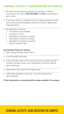### CRIMINAL ACTIVITY, GUNS/WEAPONS ON CAMPUS

- 1. Be aware of any suspicious persons or activity on campus and report to Security at 815-740-3200. Call 911 if any weapon/ gun is seen.
- 2. If you are a victim or witness to any on-campus violation of the law, call Security immediately. Security will call the appropriate response teams.
- 3. Be prepared to describe:
	- *• The nature of the incident.*
	- *• Location of crime.*
	- *• Description of persons involved.*
	- *• Description of vehicle involved.*
	- *• Description of property involved.*
	- *• Type of weapon used.*

#### Gun/weapon threat on campus

- 1. After calling Security, remain calm.
- 2. If at all possible, get away.
- 3. If shots are fired, take cover and avoid the line of sight through windows. Remain under cover until police or Security officers direct otherwise.
- 4. Keep phone lines open for emergency use.
- 5. Authorities will give the "all clear" once the situation has been resolved.

#### Crisis intervention counseling will be made available if necessary.

# CRIMINAL ACTIVITY, GUNS/WEAPONS ON CAMPUS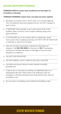### SEVERE WEATHER/TORNADO

#### TORNADO WATCH means that conditions are favorable for tornadoes to develop.

#### TORNADO WARNING means that a tornado has been sighted.

- 1. Be aware of tornado sirens, which warn of a tornado sighting. The civil defense sirens are tested at 10 a.m. the first Tuesday of each month.
- 2. *IF INDOORS,* direct people to go to the lowest level of the building. Stay in interior rooms and/or hallways away from glass windows.
- 3. *IF OUTDOORS,* go to the nearest ditch or depression away from power lines, buildings and trees. *DO NOT STAY IN YOUR CAR* or attempt to outrun the tornado.
- 4. After the tornado has passed, evaluate the damage and situation. Call 815-740-3200 for Security or 911 if emergency assistance is needed. Be aware of damage to structure and dangerous conditions.
- 5. *DO NOT USE ELEVATORS.*
- 6. *DO NOT SMOKE, LIGHT A MATCH OR USE A LIGHTER.*
- a. Gas leaks and power failures create hazards including possible fires.
- 7. If safe to do so, evacuate according to established plan to a designated safe area. Keep streets and walkways clear for emergency vehicles and personnel. Keep phone lines clear for emergency use.
- 8. Do not return to building until notified the building is safe.

# SEVERE WEATHER/TORNADO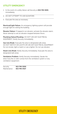## UTILITY EMERGENCY

- 1. In the event of a utility failure call Security at 815-740-3200, immediately.
- 2. *DO NOT ATTEMPT TO USE ELEVATORS*.
- 3. Evacuate the area as necessary.

Electrical/Light Failure: An emergency lighting system will provide enough light for exiting the building.

Elevator Failure: If trapped in an elevator, activate the elevator alarm. Never attempt to exit an elevator stopped between floors.

Plumbing Failure/Flooding: *DO NOT USE ANY ELECTRICAL EQUIPMENT*. Notify Security immediately.

Gas Line Break: Evacuate the area to designated safe areas. *DO NOT SWITCH ON LIGHTS OR USE ANY ELECTRICAL EQUIPMENT*. Do not smoke, light a match or use a lighter. Do not use elevator.

Steam Line Break: Notify Security immediately. Evacuate the area to designated safe areas.

Ventilation Problem: Notify Security immediately. Vacate the area if any fire or odor comes from the ventilation system or any ventilation equipment.

Security 815-740-3200 Maintenance 815-740-3427

# UTILITY EMERGENCY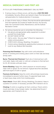### MEDICAL EMERGENCY AND FIRST AID

IF IT IS A LIFE-THREATENING EMERGENCY, DIAL 911 FIRST!

- 1. If serious injury or illness occurs, call Security at 815-740-3200 immediately. Security officers are trained in basic First Aid and will call paramedics for medical attention if necessary.
- 2. In case of minor injury or illness, First Aid should be administered. First Aid materials are located at Health Services, the Security Desk, the Command Center, Maintenance, and the Sullivan Recreation Center.
- 3. For serious injuries be sure to remember the following:
	- *A Use gloves and appropriate safety equipment to protect yourself from body fluids.*
	- *B DO NOT MOVE VICTIM.*
	- *C Call to victim, "Are you okay?" (Check for response to verbal communication)*
	- *D CHECK A,B,Cs (Airway, Breathing, Circulation)*
	- *E Control serious bleeding by applying direct pressure on wound.*
	- *F Look for any Medical Alert bracelets.*

Poisoning And Overdose: Stay with victim until ambulance arrives. If vomiting and choking, place victim on their side and keep airway open.

**Burns: Thermal And Chemical:** Flush site of chemical burn with cool water. Apply cold water or cold wet compress to thermal burn for 10–40 minutes until pain stops.

Severe Bleeding: Apply firm, direct pressure on wound using a clean cloth or gauze. Do not remove. If gauze becomes saturated, add more layers of cloth or gauze.

Fractures And Sprains: Keep the victim still and keep injured area immobilized to prevent further injury. If suspected head, neck, or back injury, keep victim from twisting spine.

Heart Attack: Check ABCs (Airway, Breathing, Circulation). Keep in a position of comfort. If necessary, provide CPR if trained to do so.

Choking: If victim is coughing, let them continue. Check victim's mouth and clear of any foreign matter. Use abdominal thrusts if appropriate, and if trained to do so.

# MEDICAL EMERGENCY AND FIRST AID